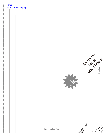| Home | <b>Back to Santahat page</b>                                                                                                                                                                                                                                                                                                                                                                                                                                                                                                               |  |
|------|--------------------------------------------------------------------------------------------------------------------------------------------------------------------------------------------------------------------------------------------------------------------------------------------------------------------------------------------------------------------------------------------------------------------------------------------------------------------------------------------------------------------------------------------|--|
|      | Once of the Business<br>Million                                                                                                                                                                                                                                                                                                                                                                                                                                                                                                            |  |
|      | identication<br>Jes tote ask of<br>--------- Bonding line AA<br>$\begin{aligned} \mathcal{L}_{\mathcal{F}}(x) &= \mathcal{L}_{\mathcal{F}}(x) \otimes \mathcal{L}_{\mathcal{F}}(x) \otimes \mathcal{L}_{\mathcal{F}}(x) \otimes \mathcal{L}_{\mathcal{F}}(x) \otimes \mathcal{L}_{\mathcal{F}}(x) \otimes \mathcal{L}_{\mathcal{F}}(x) \otimes \mathcal{L}_{\mathcal{F}}(x) \otimes \mathcal{L}_{\mathcal{F}}(x) \otimes \mathcal{L}_{\mathcal{F}}(x) \otimes \mathcal{L}_{\mathcal{F}}(x) \otimes \mathcal{L}_{\mathcal{F}}(x) \otimes \$ |  |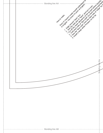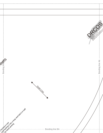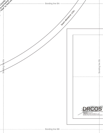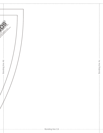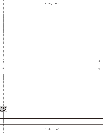| Bonding line Bb -             | Bonding line Bc |
|-------------------------------|-----------------|
| $\frac{1}{1}$                 |                 |
|                               |                 |
|                               |                 |
|                               |                 |
|                               |                 |
|                               |                 |
|                               |                 |
| ://dr-cos.com(jp)<br>:os_com! |                 |
| .com/drcoscom                 |                 |
|                               |                 |
|                               |                 |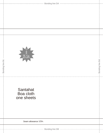